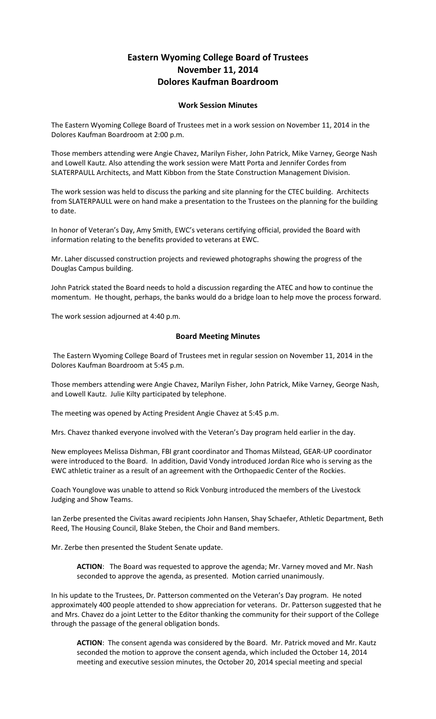## **Eastern Wyoming College Board of Trustees November 11, 2014 Dolores Kaufman Boardroom**

## **Work Session Minutes**

The Eastern Wyoming College Board of Trustees met in a work session on November 11, 2014 in the Dolores Kaufman Boardroom at 2:00 p.m.

Those members attending were Angie Chavez, Marilyn Fisher, John Patrick, Mike Varney, George Nash and Lowell Kautz. Also attending the work session were Matt Porta and Jennifer Cordes from SLATERPAULL Architects, and Matt Kibbon from the State Construction Management Division.

The work session was held to discuss the parking and site planning for the CTEC building. Architects from SLATERPAULL were on hand make a presentation to the Trustees on the planning for the building to date.

In honor of Veteran's Day, Amy Smith, EWC's veterans certifying official, provided the Board with information relating to the benefits provided to veterans at EWC.

Mr. Laher discussed construction projects and reviewed photographs showing the progress of the Douglas Campus building.

John Patrick stated the Board needs to hold a discussion regarding the ATEC and how to continue the momentum. He thought, perhaps, the banks would do a bridge loan to help move the process forward.

The work session adjourned at 4:40 p.m.

## **Board Meeting Minutes**

The Eastern Wyoming College Board of Trustees met in regular session on November 11, 2014 in the Dolores Kaufman Boardroom at 5:45 p.m.

Those members attending were Angie Chavez, Marilyn Fisher, John Patrick, Mike Varney, George Nash, and Lowell Kautz. Julie Kilty participated by telephone.

The meeting was opened by Acting President Angie Chavez at 5:45 p.m.

Mrs. Chavez thanked everyone involved with the Veteran's Day program held earlier in the day.

New employees Melissa Dishman, FBI grant coordinator and Thomas Milstead, GEAR-UP coordinator were introduced to the Board. In addition, David Vondy introduced Jordan Rice who is serving as the EWC athletic trainer as a result of an agreement with the Orthopaedic Center of the Rockies.

Coach Younglove was unable to attend so Rick Vonburg introduced the members of the Livestock Judging and Show Teams.

Ian Zerbe presented the Civitas award recipients John Hansen, Shay Schaefer, Athletic Department, Beth Reed, The Housing Council, Blake Steben, the Choir and Band members.

Mr. Zerbe then presented the Student Senate update.

**ACTION**: The Board was requested to approve the agenda; Mr. Varney moved and Mr. Nash seconded to approve the agenda, as presented. Motion carried unanimously.

In his update to the Trustees, Dr. Patterson commented on the Veteran's Day program. He noted approximately 400 people attended to show appreciation for veterans. Dr. Patterson suggested that he and Mrs. Chavez do a joint Letter to the Editor thanking the community for their support of the College through the passage of the general obligation bonds.

**ACTION**: The consent agenda was considered by the Board. Mr. Patrick moved and Mr. Kautz seconded the motion to approve the consent agenda, which included the October 14, 2014 meeting and executive session minutes, the October 20, 2014 special meeting and special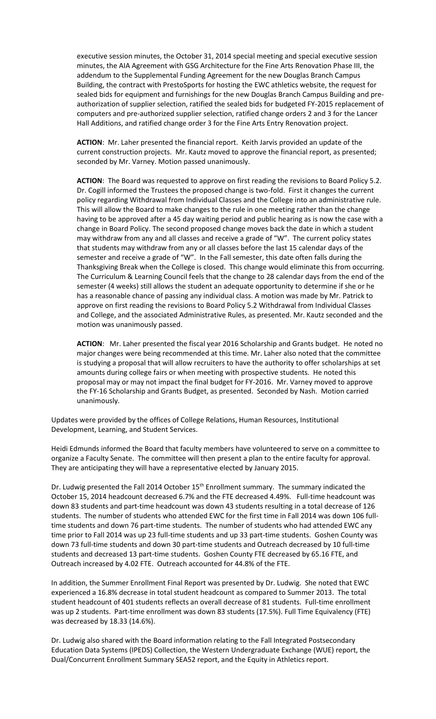executive session minutes, the October 31, 2014 special meeting and special executive session minutes, the AIA Agreement with GSG Architecture for the Fine Arts Renovation Phase III, the addendum to the Supplemental Funding Agreement for the new Douglas Branch Campus Building, the contract with PrestoSports for hosting the EWC athletics website, the request for sealed bids for equipment and furnishings for the new Douglas Branch Campus Building and preauthorization of supplier selection, ratified the sealed bids for budgeted FY-2015 replacement of computers and pre-authorized supplier selection, ratified change orders 2 and 3 for the Lancer Hall Additions, and ratified change order 3 for the Fine Arts Entry Renovation project.

**ACTION**: Mr. Laher presented the financial report. Keith Jarvis provided an update of the current construction projects. Mr. Kautz moved to approve the financial report, as presented; seconded by Mr. Varney. Motion passed unanimously.

**ACTION**: The Board was requested to approve on first reading the revisions to Board Policy 5.2. Dr. Cogill informed the Trustees the proposed change is two-fold. First it changes the current policy regarding Withdrawal from Individual Classes and the College into an administrative rule. This will allow the Board to make changes to the rule in one meeting rather than the change having to be approved after a 45 day waiting period and public hearing as is now the case with a change in Board Policy. The second proposed change moves back the date in which a student may withdraw from any and all classes and receive a grade of "W". The current policy states that students may withdraw from any or all classes before the last 15 calendar days of the semester and receive a grade of "W". In the Fall semester, this date often falls during the Thanksgiving Break when the College is closed. This change would eliminate this from occurring. The Curriculum & Learning Council feels that the change to 28 calendar days from the end of the semester (4 weeks) still allows the student an adequate opportunity to determine if she or he has a reasonable chance of passing any individual class. A motion was made by Mr. Patrick to approve on first reading the revisions to Board Policy 5.2 Withdrawal from Individual Classes and College, and the associated Administrative Rules, as presented. Mr. Kautz seconded and the motion was unanimously passed.

**ACTION**: Mr. Laher presented the fiscal year 2016 Scholarship and Grants budget. He noted no major changes were being recommended at this time. Mr. Laher also noted that the committee is studying a proposal that will allow recruiters to have the authority to offer scholarships at set amounts during college fairs or when meeting with prospective students. He noted this proposal may or may not impact the final budget for FY-2016. Mr. Varney moved to approve the FY-16 Scholarship and Grants Budget, as presented. Seconded by Nash. Motion carried unanimously.

Updates were provided by the offices of College Relations, Human Resources, Institutional Development, Learning, and Student Services.

Heidi Edmunds informed the Board that faculty members have volunteered to serve on a committee to organize a Faculty Senate. The committee will then present a plan to the entire faculty for approval. They are anticipating they will have a representative elected by January 2015.

Dr. Ludwig presented the Fall 2014 October 15<sup>th</sup> Enrollment summary. The summary indicated the October 15, 2014 headcount decreased 6.7% and the FTE decreased 4.49%. Full-time headcount was down 83 students and part-time headcount was down 43 students resulting in a total decrease of 126 students. The number of students who attended EWC for the first time in Fall 2014 was down 106 fulltime students and down 76 part-time students. The number of students who had attended EWC any time prior to Fall 2014 was up 23 full-time students and up 33 part-time students. Goshen County was down 73 full-time students and down 30 part-time students and Outreach decreased by 10 full-time students and decreased 13 part-time students. Goshen County FTE decreased by 65.16 FTE, and Outreach increased by 4.02 FTE. Outreach accounted for 44.8% of the FTE.

In addition, the Summer Enrollment Final Report was presented by Dr. Ludwig. She noted that EWC experienced a 16.8% decrease in total student headcount as compared to Summer 2013. The total student headcount of 401 students reflects an overall decrease of 81 students. Full-time enrollment was up 2 students. Part-time enrollment was down 83 students (17.5%). Full Time Equivalency (FTE) was decreased by 18.33 (14.6%).

Dr. Ludwig also shared with the Board information relating to the Fall Integrated Postsecondary Education Data Systems (IPEDS) Collection, the Western Undergraduate Exchange (WUE) report, the Dual/Concurrent Enrollment Summary SEA52 report, and the Equity in Athletics report.